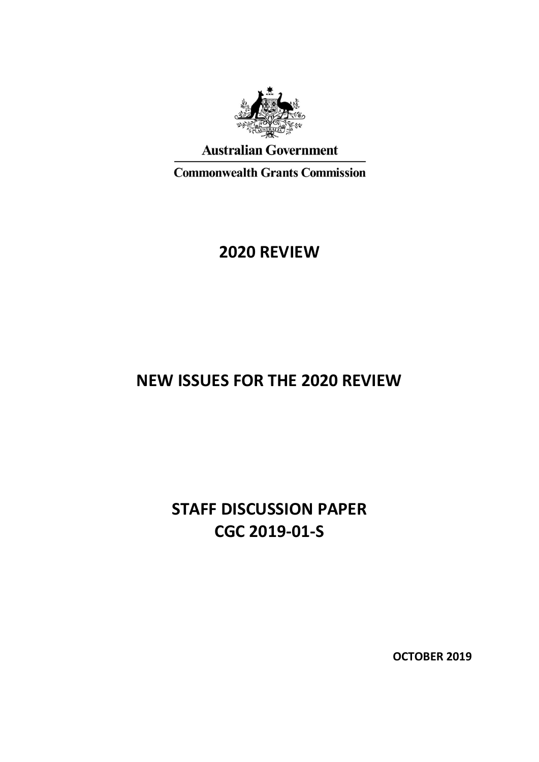

### **Australian Government**

**Commonwealth Grants Commission** 

## **2020 REVIEW**

# **NEW ISSUES FOR THE 2020 REVIEW**

# **STAFF DISCUSSION PAPER CGC 2019-01-S**

**OCTOBER 2019**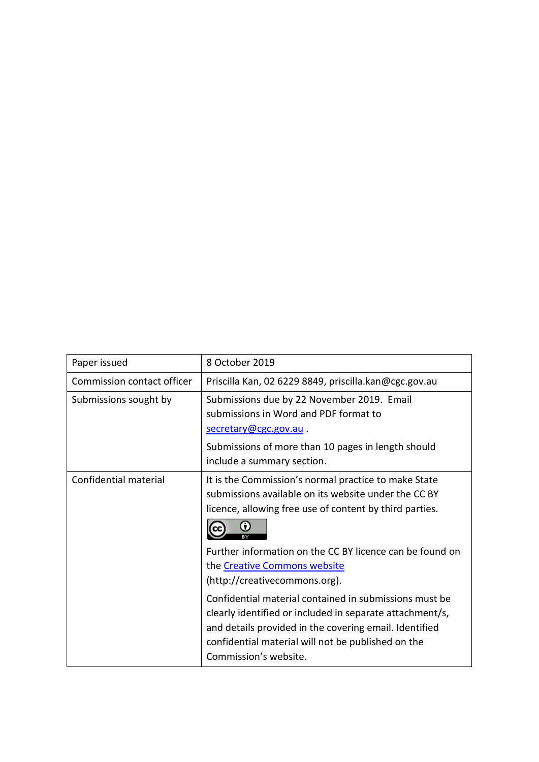| Paper issued               | 8 October 2019                                                                                                                                                                                                                                                                                            |
|----------------------------|-----------------------------------------------------------------------------------------------------------------------------------------------------------------------------------------------------------------------------------------------------------------------------------------------------------|
| Commission contact officer | Priscilla Kan, 02 6229 8849, priscilla.kan@cgc.gov.au                                                                                                                                                                                                                                                     |
| Submissions sought by      | Submissions due by 22 November 2019. Email<br>submissions in Word and PDF format to<br>secretary@cgc.gov.au.                                                                                                                                                                                              |
|                            | Submissions of more than 10 pages in length should<br>include a summary section.                                                                                                                                                                                                                          |
| Confidential material      | It is the Commission's normal practice to make State<br>submissions available on its website under the CC BY<br>licence, allowing free use of content by third parties.                                                                                                                                   |
|                            | Further information on the CC BY licence can be found on<br>the Creative Commons website<br>(http://creativecommons.org).<br>Confidential material contained in submissions must be<br>clearly identified or included in separate attachment/s,<br>and details provided in the covering email. Identified |
|                            | confidential material will not be published on the<br>Commission's website.                                                                                                                                                                                                                               |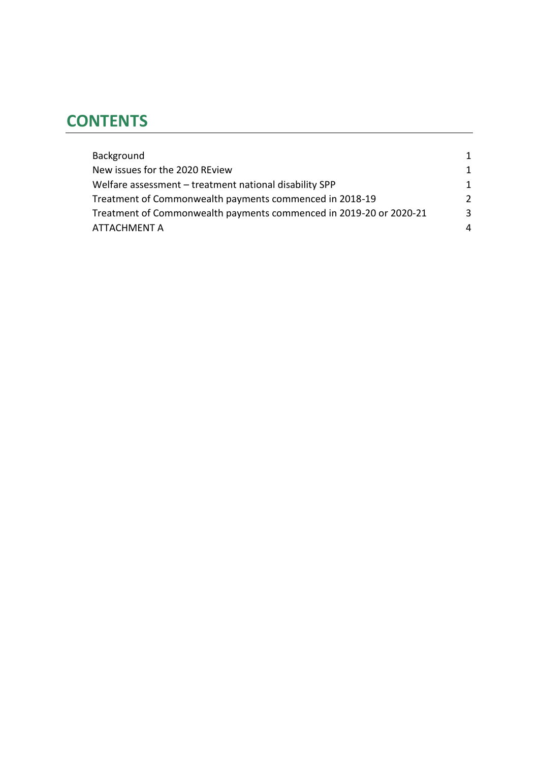# **CONTENTS**

| Background                                                         | 1             |
|--------------------------------------------------------------------|---------------|
| New issues for the 2020 REview                                     | 1             |
| Welfare assessment - treatment national disability SPP             | 1             |
| Treatment of Commonwealth payments commenced in 2018-19            | $\mathcal{P}$ |
| Treatment of Commonwealth payments commenced in 2019-20 or 2020-21 | 3             |
| <b>ATTACHMENT A</b>                                                | 4             |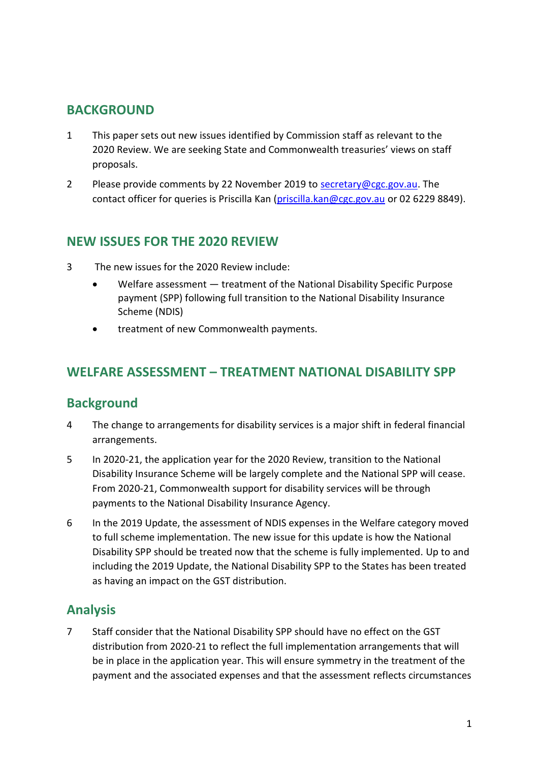## <span id="page-3-0"></span>**BACKGROUND**

- 1 This paper sets out new issues identified by Commission staff as relevant to the 2020 Review. We are seeking State and Commonwealth treasuries' views on staff proposals.
- 2 Please provide comments by 22 November 2019 to [secretary@cgc.gov.au.](mailto:secretary@cgc.gov.au) The contact officer for queries is Priscilla Kan [\(priscilla.kan@cgc.gov.au](mailto:priscilla.kan@cgc.gov.au) or 02 6229 8849).

## <span id="page-3-1"></span>**NEW ISSUES FOR THE 2020 REVIEW**

- 3 The new issues for the 2020 Review include:
	- Welfare assessment treatment of the National Disability Specific Purpose payment (SPP) following full transition to the National Disability Insurance Scheme (NDIS)
	- treatment of new Commonwealth payments.

## <span id="page-3-2"></span>**WELFARE ASSESSMENT – TREATMENT NATIONAL DISABILITY SPP**

#### **Background**

- 4 The change to arrangements for disability services is a major shift in federal financial arrangements.
- 5 In 2020-21, the application year for the 2020 Review, transition to the National Disability Insurance Scheme will be largely complete and the National SPP will cease. From 2020-21, Commonwealth support for disability services will be through payments to the National Disability Insurance Agency.
- 6 In the 2019 Update, the assessment of NDIS expenses in the Welfare category moved to full scheme implementation. The new issue for this update is how the National Disability SPP should be treated now that the scheme is fully implemented. Up to and including the 2019 Update, the National Disability SPP to the States has been treated as having an impact on the GST distribution.

### **Analysis**

7 Staff consider that the National Disability SPP should have no effect on the GST distribution from 2020-21 to reflect the full implementation arrangements that will be in place in the application year. This will ensure symmetry in the treatment of the payment and the associated expenses and that the assessment reflects circumstances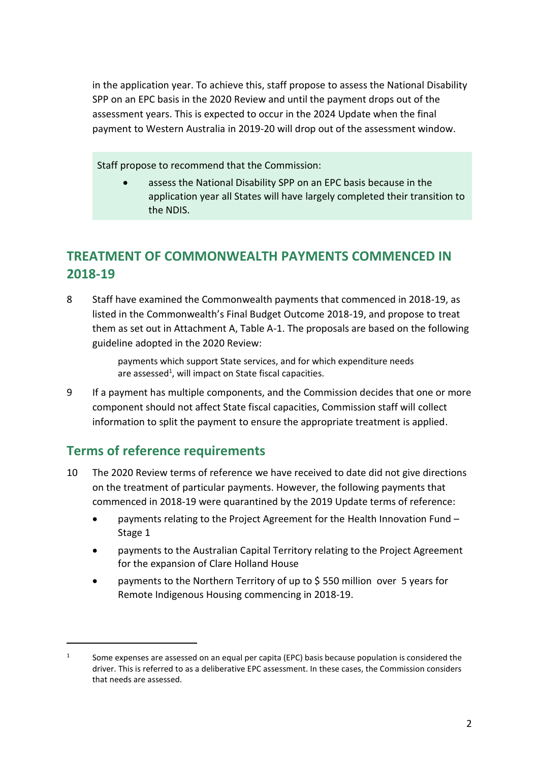in the application year. To achieve this, staff propose to assess the National Disability SPP on an EPC basis in the 2020 Review and until the payment drops out of the assessment years. This is expected to occur in the 2024 Update when the final payment to Western Australia in 2019-20 will drop out of the assessment window.

Staff propose to recommend that the Commission:

 assess the National Disability SPP on an EPC basis because in the application year all States will have largely completed their transition to the NDIS.

## <span id="page-4-0"></span>**TREATMENT OF COMMONWEALTH PAYMENTS COMMENCED IN 2018-19**

8 Staff have examined the Commonwealth payments that commenced in 2018-19, as listed in the Commonwealth's Final Budget Outcome 2018-19, and propose to treat them as set out in Attachment A, Table A-1. The proposals are based on the following guideline adopted in the 2020 Review:

> payments which support State services, and for which expenditure needs are assessed<sup>1</sup>, will impact on State fiscal capacities.

9 If a payment has multiple components, and the Commission decides that one or more component should not affect State fiscal capacities, Commission staff will collect information to split the payment to ensure the appropriate treatment is applied.

## **Terms of reference requirements**

 $\overline{a}$ 

- 10 The 2020 Review terms of reference we have received to date did not give directions on the treatment of particular payments. However, the following payments that commenced in 2018-19 were quarantined by the 2019 Update terms of reference:
	- payments relating to the Project Agreement for the Health Innovation Fund Stage 1
	- payments to the Australian Capital Territory relating to the Project Agreement for the expansion of Clare Holland House
	- payments to the Northern Territory of up to \$ 550 million over 5 years for Remote Indigenous Housing commencing in 2018-19.

<sup>1</sup> Some expenses are assessed on an equal per capita (EPC) basis because population is considered the driver. This is referred to as a deliberative EPC assessment. In these cases, the Commission considers that needs are assessed.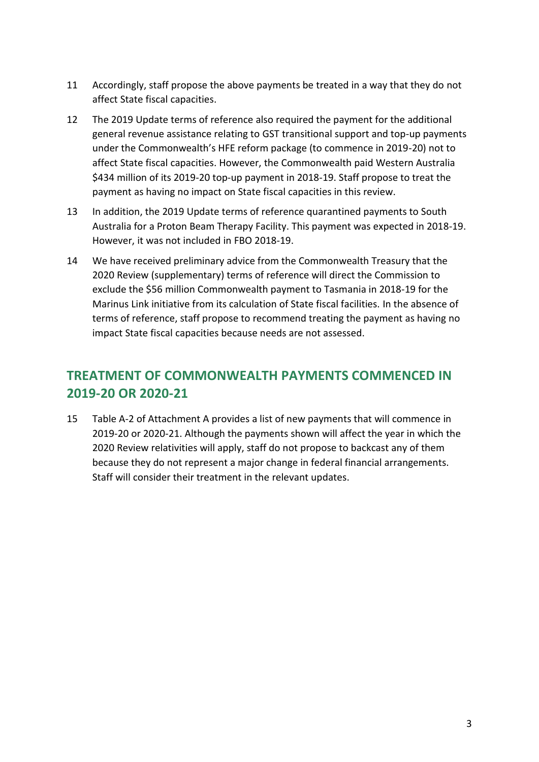- 11 Accordingly, staff propose the above payments be treated in a way that they do not affect State fiscal capacities.
- 12 The 2019 Update terms of reference also required the payment for the additional general revenue assistance relating to GST transitional support and top-up payments under the Commonwealth's HFE reform package (to commence in 2019-20) not to affect State fiscal capacities. However, the Commonwealth paid Western Australia \$434 million of its 2019-20 top-up payment in 2018-19. Staff propose to treat the payment as having no impact on State fiscal capacities in this review.
- 13 In addition, the 2019 Update terms of reference quarantined payments to South Australia for a Proton Beam Therapy Facility. This payment was expected in 2018-19. However, it was not included in FBO 2018-19.
- 14 We have received preliminary advice from the Commonwealth Treasury that the 2020 Review (supplementary) terms of reference will direct the Commission to exclude the \$56 million Commonwealth payment to Tasmania in 2018-19 for the Marinus Link initiative from its calculation of State fiscal facilities. In the absence of terms of reference, staff propose to recommend treating the payment as having no impact State fiscal capacities because needs are not assessed.

## <span id="page-5-0"></span>**TREATMENT OF COMMONWEALTH PAYMENTS COMMENCED IN 2019-20 OR 2020-21**

15 Table A-2 of Attachment A provides a list of new payments that will commence in 2019-20 or 2020-21. Although the payments shown will affect the year in which the 2020 Review relativities will apply, staff do not propose to backcast any of them because they do not represent a major change in federal financial arrangements. Staff will consider their treatment in the relevant updates.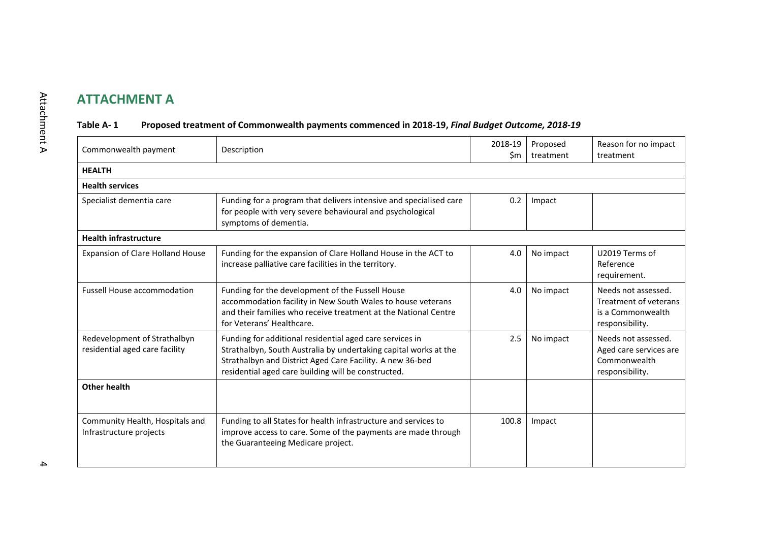## **ATTACHMENT A**

#### **Table A- 1 Proposed treatment of Commonwealth payments commenced in 2018-19,** *Final Budget Outcome, 2018-19*

<span id="page-6-0"></span>

| Commonwealth payment                                           | Description                                                                                                                                                                                                                                      | 2018-19<br>\$m | Proposed<br>treatment | Reason for no impact<br>treatment                                                    |  |  |  |
|----------------------------------------------------------------|--------------------------------------------------------------------------------------------------------------------------------------------------------------------------------------------------------------------------------------------------|----------------|-----------------------|--------------------------------------------------------------------------------------|--|--|--|
| <b>HEALTH</b>                                                  |                                                                                                                                                                                                                                                  |                |                       |                                                                                      |  |  |  |
| <b>Health services</b>                                         |                                                                                                                                                                                                                                                  |                |                       |                                                                                      |  |  |  |
| Specialist dementia care                                       | Funding for a program that delivers intensive and specialised care<br>for people with very severe behavioural and psychological<br>symptoms of dementia.                                                                                         | 0.2            | Impact                |                                                                                      |  |  |  |
| <b>Health infrastructure</b>                                   |                                                                                                                                                                                                                                                  |                |                       |                                                                                      |  |  |  |
| <b>Expansion of Clare Holland House</b>                        | Funding for the expansion of Clare Holland House in the ACT to<br>increase palliative care facilities in the territory.                                                                                                                          | 4.0            | No impact             | U2019 Terms of<br>Reference<br>requirement.                                          |  |  |  |
| <b>Fussell House accommodation</b>                             | Funding for the development of the Fussell House<br>accommodation facility in New South Wales to house veterans<br>and their families who receive treatment at the National Centre<br>for Veterans' Healthcare.                                  | 4.0            | No impact             | Needs not assessed.<br>Treatment of veterans<br>is a Commonwealth<br>responsibility. |  |  |  |
| Redevelopment of Strathalbyn<br>residential aged care facility | Funding for additional residential aged care services in<br>Strathalbyn, South Australia by undertaking capital works at the<br>Strathalbyn and District Aged Care Facility. A new 36-bed<br>residential aged care building will be constructed. | 2.5            | No impact             | Needs not assessed.<br>Aged care services are<br>Commonwealth<br>responsibility.     |  |  |  |
| Other health                                                   |                                                                                                                                                                                                                                                  |                |                       |                                                                                      |  |  |  |
| Community Health, Hospitals and<br>Infrastructure projects     | Funding to all States for health infrastructure and services to<br>improve access to care. Some of the payments are made through<br>the Guaranteeing Medicare project.                                                                           | 100.8          | Impact                |                                                                                      |  |  |  |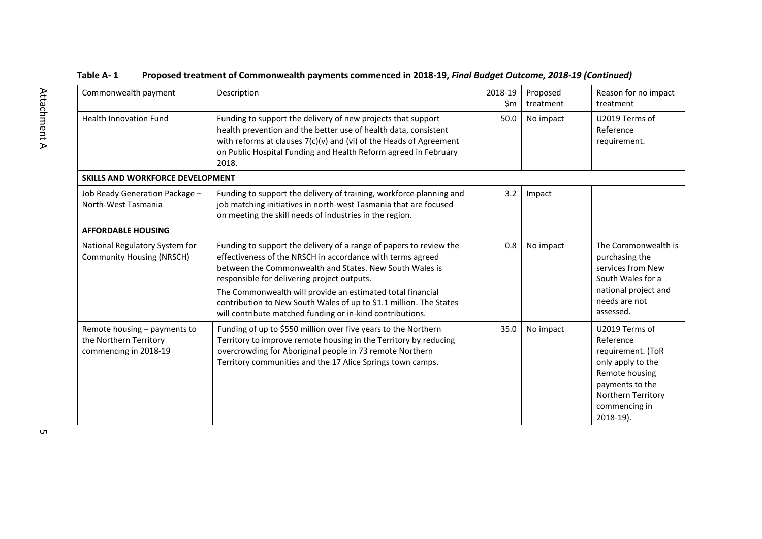| Commonwealth payment                                                            | Description                                                                                                                                                                                                                                                                                                                                                                                                                                 | 2018-19<br>\$m | Proposed<br>treatment | Reason for no impact<br>treatment                                                                                                                              |
|---------------------------------------------------------------------------------|---------------------------------------------------------------------------------------------------------------------------------------------------------------------------------------------------------------------------------------------------------------------------------------------------------------------------------------------------------------------------------------------------------------------------------------------|----------------|-----------------------|----------------------------------------------------------------------------------------------------------------------------------------------------------------|
| <b>Health Innovation Fund</b>                                                   | Funding to support the delivery of new projects that support<br>health prevention and the better use of health data, consistent<br>with reforms at clauses 7(c)(v) and (vi) of the Heads of Agreement<br>on Public Hospital Funding and Health Reform agreed in February<br>2018.                                                                                                                                                           | 50.0           | No impact             | U2019 Terms of<br>Reference<br>requirement.                                                                                                                    |
| SKILLS AND WORKFORCE DEVELOPMENT                                                |                                                                                                                                                                                                                                                                                                                                                                                                                                             |                |                       |                                                                                                                                                                |
| Job Ready Generation Package -<br>North-West Tasmania                           | Funding to support the delivery of training, workforce planning and<br>job matching initiatives in north-west Tasmania that are focused<br>on meeting the skill needs of industries in the region.                                                                                                                                                                                                                                          | 3.2            | Impact                |                                                                                                                                                                |
| <b>AFFORDABLE HOUSING</b>                                                       |                                                                                                                                                                                                                                                                                                                                                                                                                                             |                |                       |                                                                                                                                                                |
| National Regulatory System for<br><b>Community Housing (NRSCH)</b>              | Funding to support the delivery of a range of papers to review the<br>effectiveness of the NRSCH in accordance with terms agreed<br>between the Commonwealth and States. New South Wales is<br>responsible for delivering project outputs.<br>The Commonwealth will provide an estimated total financial<br>contribution to New South Wales of up to \$1.1 million. The States<br>will contribute matched funding or in-kind contributions. | 0.8            | No impact             | The Commonwealth is<br>purchasing the<br>services from New<br>South Wales for a<br>national project and<br>needs are not<br>assessed.                          |
| Remote housing - payments to<br>the Northern Territory<br>commencing in 2018-19 | Funding of up to \$550 million over five years to the Northern<br>Territory to improve remote housing in the Territory by reducing<br>overcrowding for Aboriginal people in 73 remote Northern<br>Territory communities and the 17 Alice Springs town camps.                                                                                                                                                                                | 35.0           | No impact             | U2019 Terms of<br>Reference<br>requirement. (ToR<br>only apply to the<br>Remote housing<br>payments to the<br>Northern Territory<br>commencing in<br>2018-19). |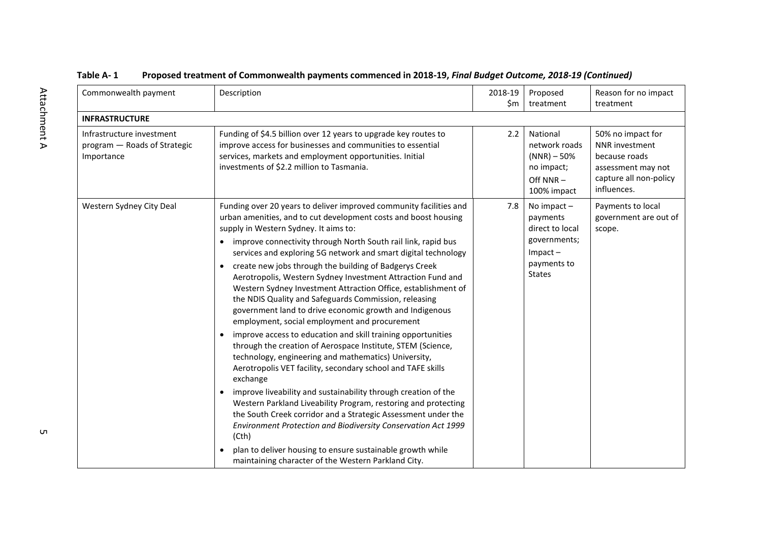| Commonwealth payment                                                    | Description                                                                                                                                                                                                                                                                                                                                                                                                                                                                                                                                                                                                                                                                                                                                                                                                                                                                                                                                                                                                                                                                                                                                                                                                                                                                                                                                                                                   | 2018-19<br>\$m | Proposed<br>treatment                                                                                         | Reason for no impact<br>treatment                                                                                   |
|-------------------------------------------------------------------------|-----------------------------------------------------------------------------------------------------------------------------------------------------------------------------------------------------------------------------------------------------------------------------------------------------------------------------------------------------------------------------------------------------------------------------------------------------------------------------------------------------------------------------------------------------------------------------------------------------------------------------------------------------------------------------------------------------------------------------------------------------------------------------------------------------------------------------------------------------------------------------------------------------------------------------------------------------------------------------------------------------------------------------------------------------------------------------------------------------------------------------------------------------------------------------------------------------------------------------------------------------------------------------------------------------------------------------------------------------------------------------------------------|----------------|---------------------------------------------------------------------------------------------------------------|---------------------------------------------------------------------------------------------------------------------|
| <b>INFRASTRUCTURE</b>                                                   |                                                                                                                                                                                                                                                                                                                                                                                                                                                                                                                                                                                                                                                                                                                                                                                                                                                                                                                                                                                                                                                                                                                                                                                                                                                                                                                                                                                               |                |                                                                                                               |                                                                                                                     |
| Infrastructure investment<br>program - Roads of Strategic<br>Importance | Funding of \$4.5 billion over 12 years to upgrade key routes to<br>improve access for businesses and communities to essential<br>services, markets and employment opportunities. Initial<br>investments of \$2.2 million to Tasmania.                                                                                                                                                                                                                                                                                                                                                                                                                                                                                                                                                                                                                                                                                                                                                                                                                                                                                                                                                                                                                                                                                                                                                         | 2.2            | National<br>network roads<br>$(NNR) - 50\%$<br>no impact;<br>Off NNR-<br>100% impact                          | 50% no impact for<br>NNR investment<br>because roads<br>assessment may not<br>capture all non-policy<br>influences. |
| Western Sydney City Deal                                                | Funding over 20 years to deliver improved community facilities and<br>urban amenities, and to cut development costs and boost housing<br>supply in Western Sydney. It aims to:<br>improve connectivity through North South rail link, rapid bus<br>$\bullet$<br>services and exploring 5G network and smart digital technology<br>create new jobs through the building of Badgerys Creek<br>$\bullet$<br>Aerotropolis, Western Sydney Investment Attraction Fund and<br>Western Sydney Investment Attraction Office, establishment of<br>the NDIS Quality and Safeguards Commission, releasing<br>government land to drive economic growth and Indigenous<br>employment, social employment and procurement<br>improve access to education and skill training opportunities<br>$\bullet$<br>through the creation of Aerospace Institute, STEM (Science,<br>technology, engineering and mathematics) University,<br>Aerotropolis VET facility, secondary school and TAFE skills<br>exchange<br>improve liveability and sustainability through creation of the<br>Western Parkland Liveability Program, restoring and protecting<br>the South Creek corridor and a Strategic Assessment under the<br>Environment Protection and Biodiversity Conservation Act 1999<br>(Cth)<br>plan to deliver housing to ensure sustainable growth while<br>maintaining character of the Western Parkland City. | 7.8            | No impact $-$<br>payments<br>direct to local<br>governments;<br>$Im$ pact $-$<br>payments to<br><b>States</b> | Payments to local<br>government are out of<br>scope.                                                                |

 $\mathsf{C}$ п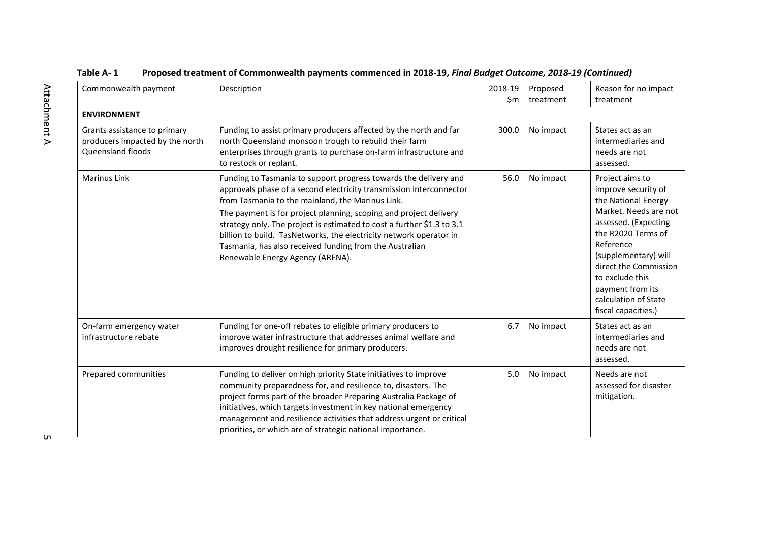| Commonwealth payment                                                                 | Description                                                                                                                                                                                                                                                                                                                                                                                                                                                                                                     | 2018-19<br>\$m | Proposed<br>treatment | Reason for no impact<br>treatment                                                                                                                                                                                                                                                        |
|--------------------------------------------------------------------------------------|-----------------------------------------------------------------------------------------------------------------------------------------------------------------------------------------------------------------------------------------------------------------------------------------------------------------------------------------------------------------------------------------------------------------------------------------------------------------------------------------------------------------|----------------|-----------------------|------------------------------------------------------------------------------------------------------------------------------------------------------------------------------------------------------------------------------------------------------------------------------------------|
| <b>ENVIRONMENT</b>                                                                   |                                                                                                                                                                                                                                                                                                                                                                                                                                                                                                                 |                |                       |                                                                                                                                                                                                                                                                                          |
| Grants assistance to primary<br>producers impacted by the north<br>Queensland floods | Funding to assist primary producers affected by the north and far<br>north Queensland monsoon trough to rebuild their farm<br>enterprises through grants to purchase on-farm infrastructure and<br>to restock or replant.                                                                                                                                                                                                                                                                                       | 300.0          | No impact             | States act as an<br>intermediaries and<br>needs are not<br>assessed.                                                                                                                                                                                                                     |
| <b>Marinus Link</b>                                                                  | Funding to Tasmania to support progress towards the delivery and<br>approvals phase of a second electricity transmission interconnector<br>from Tasmania to the mainland, the Marinus Link.<br>The payment is for project planning, scoping and project delivery<br>strategy only. The project is estimated to cost a further \$1.3 to 3.1<br>billion to build. TasNetworks, the electricity network operator in<br>Tasmania, has also received funding from the Australian<br>Renewable Energy Agency (ARENA). | 56.0           | No impact             | Project aims to<br>improve security of<br>the National Energy<br>Market. Needs are not<br>assessed. (Expecting<br>the R2020 Terms of<br>Reference<br>(supplementary) will<br>direct the Commission<br>to exclude this<br>payment from its<br>calculation of State<br>fiscal capacities.) |
| On-farm emergency water<br>infrastructure rebate                                     | Funding for one-off rebates to eligible primary producers to<br>improve water infrastructure that addresses animal welfare and<br>improves drought resilience for primary producers.                                                                                                                                                                                                                                                                                                                            | 6.7            | No impact             | States act as an<br>intermediaries and<br>needs are not<br>assessed.                                                                                                                                                                                                                     |
| Prepared communities                                                                 | Funding to deliver on high priority State initiatives to improve<br>community preparedness for, and resilience to, disasters. The<br>project forms part of the broader Preparing Australia Package of<br>initiatives, which targets investment in key national emergency<br>management and resilience activities that address urgent or critical<br>priorities, or which are of strategic national importance.                                                                                                  | 5.0            | No impact             | Needs are not<br>assessed for disaster<br>mitigation.                                                                                                                                                                                                                                    |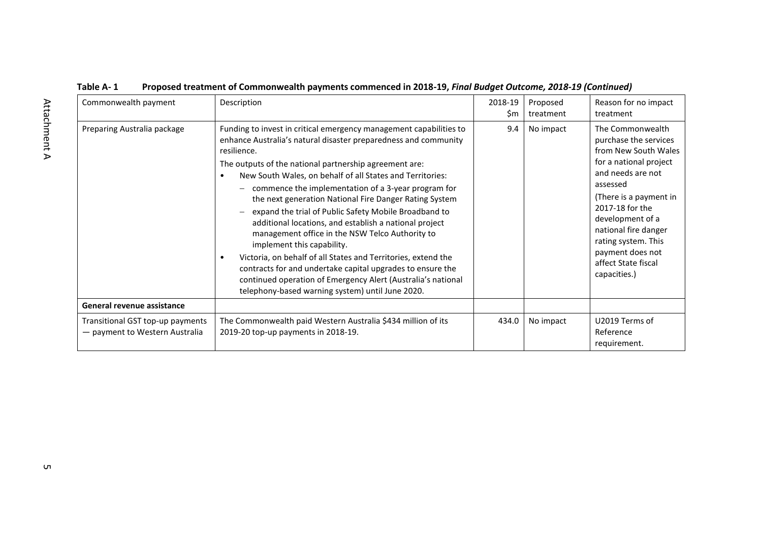| Commonwealth payment                                               | Description                                                                                                                                                                                                                                                                                                                                                                                                                                                                                                                                                                                                                                                                                                                                                                                                                                         | 2018-19<br>\$m | Proposed<br>treatment | Reason for no impact<br>treatment                                                                                                                                                                                                                                                                       |
|--------------------------------------------------------------------|-----------------------------------------------------------------------------------------------------------------------------------------------------------------------------------------------------------------------------------------------------------------------------------------------------------------------------------------------------------------------------------------------------------------------------------------------------------------------------------------------------------------------------------------------------------------------------------------------------------------------------------------------------------------------------------------------------------------------------------------------------------------------------------------------------------------------------------------------------|----------------|-----------------------|---------------------------------------------------------------------------------------------------------------------------------------------------------------------------------------------------------------------------------------------------------------------------------------------------------|
| Preparing Australia package                                        | Funding to invest in critical emergency management capabilities to<br>enhance Australia's natural disaster preparedness and community<br>resilience.<br>The outputs of the national partnership agreement are:<br>New South Wales, on behalf of all States and Territories:<br>commence the implementation of a 3-year program for<br>the next generation National Fire Danger Rating System<br>expand the trial of Public Safety Mobile Broadband to<br>additional locations, and establish a national project<br>management office in the NSW Telco Authority to<br>implement this capability.<br>Victoria, on behalf of all States and Territories, extend the<br>contracts for and undertake capital upgrades to ensure the<br>continued operation of Emergency Alert (Australia's national<br>telephony-based warning system) until June 2020. | 9.4            | No impact             | The Commonwealth<br>purchase the services<br>from New South Wales<br>for a national project<br>and needs are not<br>assessed<br>(There is a payment in<br>2017-18 for the<br>development of a<br>national fire danger<br>rating system. This<br>payment does not<br>affect State fiscal<br>capacities.) |
| General revenue assistance                                         |                                                                                                                                                                                                                                                                                                                                                                                                                                                                                                                                                                                                                                                                                                                                                                                                                                                     |                |                       |                                                                                                                                                                                                                                                                                                         |
| Transitional GST top-up payments<br>- payment to Western Australia | The Commonwealth paid Western Australia \$434 million of its<br>2019-20 top-up payments in 2018-19.                                                                                                                                                                                                                                                                                                                                                                                                                                                                                                                                                                                                                                                                                                                                                 | 434.0          | No impact             | U2019 Terms of<br>Reference<br>requirement.                                                                                                                                                                                                                                                             |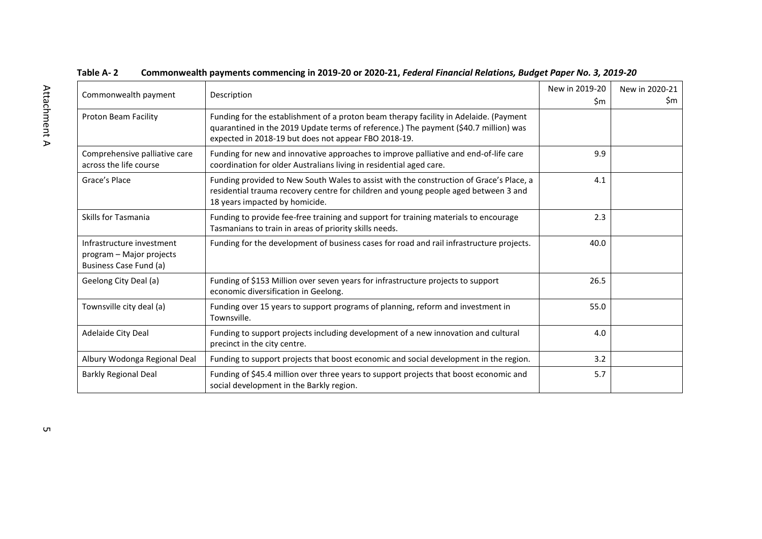| Commonwealth payment                                                            | Description                                                                                                                                                                                                                           | New in 2019-20<br>Sm. | New in 2020-21<br>Sm. |
|---------------------------------------------------------------------------------|---------------------------------------------------------------------------------------------------------------------------------------------------------------------------------------------------------------------------------------|-----------------------|-----------------------|
| Proton Beam Facility                                                            | Funding for the establishment of a proton beam therapy facility in Adelaide. (Payment<br>quarantined in the 2019 Update terms of reference.) The payment (\$40.7 million) was<br>expected in 2018-19 but does not appear FBO 2018-19. |                       |                       |
| Comprehensive palliative care<br>across the life course                         | Funding for new and innovative approaches to improve palliative and end-of-life care<br>coordination for older Australians living in residential aged care.                                                                           | 9.9                   |                       |
| Grace's Place                                                                   | Funding provided to New South Wales to assist with the construction of Grace's Place, a<br>residential trauma recovery centre for children and young people aged between 3 and<br>18 years impacted by homicide.                      | 4.1                   |                       |
| Skills for Tasmania                                                             | Funding to provide fee-free training and support for training materials to encourage<br>Tasmanians to train in areas of priority skills needs.                                                                                        | 2.3                   |                       |
| Infrastructure investment<br>program - Major projects<br>Business Case Fund (a) | Funding for the development of business cases for road and rail infrastructure projects.                                                                                                                                              | 40.0                  |                       |
| Geelong City Deal (a)                                                           | Funding of \$153 Million over seven years for infrastructure projects to support<br>economic diversification in Geelong.                                                                                                              | 26.5                  |                       |
| Townsville city deal (a)                                                        | Funding over 15 years to support programs of planning, reform and investment in<br>Townsville.                                                                                                                                        | 55.0                  |                       |
| Adelaide City Deal                                                              | Funding to support projects including development of a new innovation and cultural<br>precinct in the city centre.                                                                                                                    | 4.0                   |                       |
| Albury Wodonga Regional Deal                                                    | Funding to support projects that boost economic and social development in the region.                                                                                                                                                 | 3.2                   |                       |
| <b>Barkly Regional Deal</b>                                                     | Funding of \$45.4 million over three years to support projects that boost economic and<br>social development in the Barkly region.                                                                                                    | 5.7                   |                       |

#### **Table A- 2 Commonwealth payments commencing in 2019-20 or 2020-21,** *Federal Financial Relations, Budget Paper No. 3, 2019-20*